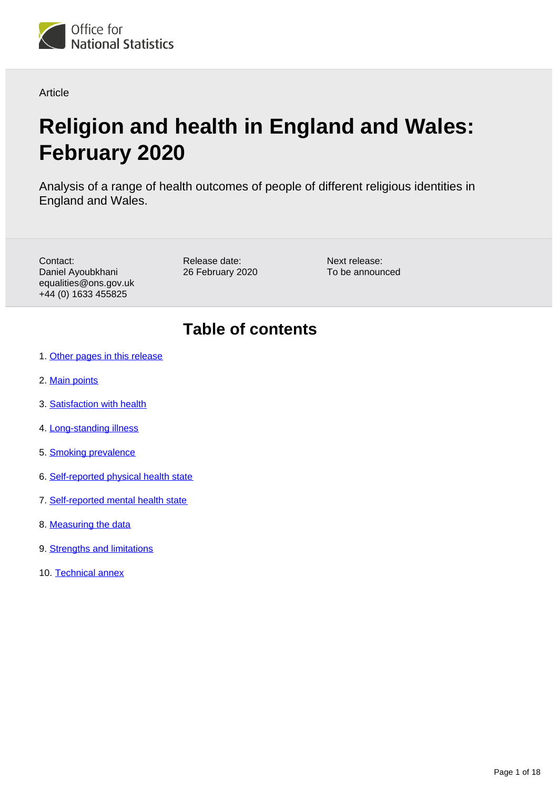

Article

# **Religion and health in England and Wales: February 2020**

Analysis of a range of health outcomes of people of different religious identities in England and Wales.

Contact: Daniel Ayoubkhani equalities@ons.gov.uk +44 (0) 1633 455825

Release date: 26 February 2020 Next release: To be announced

# **Table of contents**

- 1. [Other pages in this release](#page-1-0)
- 2. [Main points](#page-2-0)
- 3. [Satisfaction with health](#page-3-0)
- 4. [Long-standing illness](#page-4-0)
- 5. [Smoking prevalence](#page-5-0)
- 6. [Self-reported physical health state](#page-6-0)
- 7. [Self-reported mental health state](#page-7-0)
- 8. [Measuring the data](#page-8-0)
- 9. **[Strengths and limitations](#page-9-0)**
- 10. [Technical annex](#page-10-0)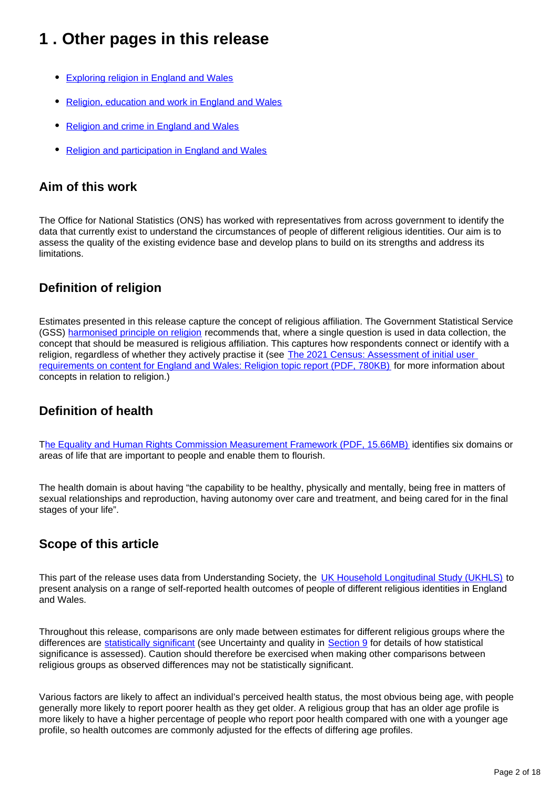# <span id="page-1-0"></span>**1 . Other pages in this release**

- [Exploring religion in England and Wales](https://www.ons.gov.uk/peoplepopulationandcommunity/culturalidentity/religion/articles/exploringreligioninenglandandwales/february2020)
- [Religion, education and work in England and Wales](https://www.ons.gov.uk/peoplepopulationandcommunity/culturalidentity/religion/articles/religioneducationandworkinenglandandwales/february2020)
- [Religion and crime in England and Wales](https://www.ons.gov.uk/peoplepopulationandcommunity/culturalidentity/religion/articles/religionandcrimeinenglandandwales/february2020)
- [Religion and participation in England and Wales](https://www.ons.gov.uk/peoplepopulationandcommunity/culturalidentity/religion/articles/religionandparticipationinenglandandwales/february2020)

### **Aim of this work**

The Office for National Statistics (ONS) has worked with representatives from across government to identify the data that currently exist to understand the circumstances of people of different religious identities. Our aim is to assess the quality of the existing evidence base and develop plans to build on its strengths and address its limitations.

## **Definition of religion**

Estimates presented in this release capture the concept of religious affiliation. The Government Statistical Service (GSS) [harmonised principle on religion](https://gss.civilservice.gov.uk/policy-store/religion/) recommends that, where a single question is used in data collection, the concept that should be measured is religious affiliation. This captures how respondents connect or identify with a religion, regardless of whether they actively practise it (see The 2021 Census: Assessment of initial user [requirements on content for England and Wales: Religion topic report \(PDF, 780KB\)](https://www.ons.gov.uk/file?uri=/census/censustransformationprogramme/consultations/the2021censusinitialviewoncontentforenglandandwales/topicreport08religion.pdf) for more information about concepts in relation to religion.)

## **Definition of health**

T[he Equality and Human Rights Commission Measurement Framework \(PDF, 15.66MB\)](https://www.equalityhumanrights.com/sites/default/files/measurement-framework-interactive.pdf) identifies six domains or areas of life that are important to people and enable them to flourish.

The health domain is about having "the capability to be healthy, physically and mentally, being free in matters of sexual relationships and reproduction, having autonomy over care and treatment, and being cared for in the final stages of your life".

## **Scope of this article**

This part of the release uses data from Understanding Society, the [UK Household Longitudinal Study \(UKHLS\)](https://www.understandingsociety.ac.uk/) to present analysis on a range of self-reported health outcomes of people of different religious identities in England and Wales.

Throughout this release, comparisons are only made between estimates for different religious groups where the differences are [statistically significant](https://www.ons.gov.uk/methodology/methodologytopicsandstatisticalconcepts/uncertaintyandhowwemeasureit#statistical-significance) (see Uncertainty and quality in [Section 9](https://www.ons.gov.uk/peoplepopulationandcommunity/culturalidentity/religion/articles/religionandhealthinenglandandwales/february2020#strengths-and-limitations) for details of how statistical significance is assessed). Caution should therefore be exercised when making other comparisons between religious groups as observed differences may not be statistically significant.

Various factors are likely to affect an individual's perceived health status, the most obvious being age, with people generally more likely to report poorer health as they get older. A religious group that has an older age profile is more likely to have a higher percentage of people who report poor health compared with one with a younger age profile, so health outcomes are commonly adjusted for the effects of differing age profiles.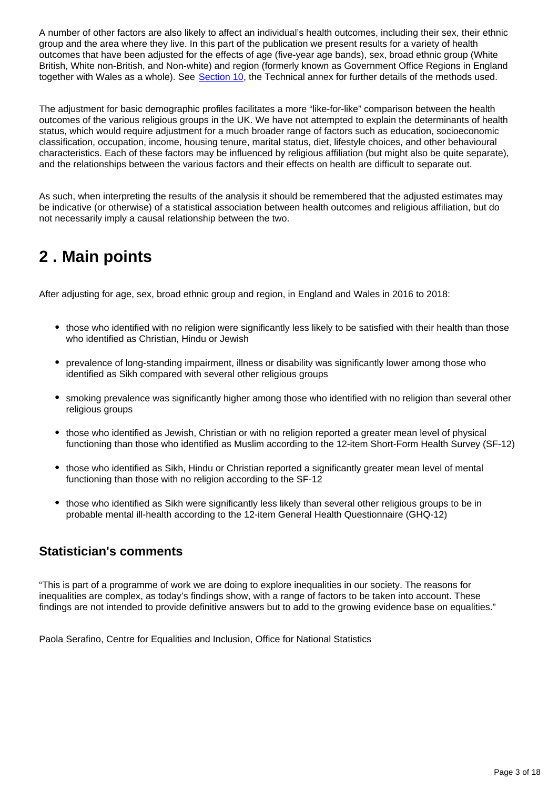A number of other factors are also likely to affect an individual's health outcomes, including their sex, their ethnic group and the area where they live. In this part of the publication we present results for a variety of health outcomes that have been adjusted for the effects of age (five-year age bands), sex, broad ethnic group (White British, White non-British, and Non-white) and region (formerly known as Government Office Regions in England together with Wales as a whole). See [Section 10,](https://www.ons.gov.uk/peoplepopulationandcommunity/culturalidentity/religion/articles/religionandhealthinenglandandwales/february2020#technical-annex) the Technical annex for further details of the methods used.

The adjustment for basic demographic profiles facilitates a more "like-for-like" comparison between the health outcomes of the various religious groups in the UK. We have not attempted to explain the determinants of health status, which would require adjustment for a much broader range of factors such as education, socioeconomic classification, occupation, income, housing tenure, marital status, diet, lifestyle choices, and other behavioural characteristics. Each of these factors may be influenced by religious affiliation (but might also be quite separate), and the relationships between the various factors and their effects on health are difficult to separate out.

As such, when interpreting the results of the analysis it should be remembered that the adjusted estimates may be indicative (or otherwise) of a statistical association between health outcomes and religious affiliation, but do not necessarily imply a causal relationship between the two.

# <span id="page-2-0"></span>**2 . Main points**

After adjusting for age, sex, broad ethnic group and region, in England and Wales in 2016 to 2018:

- those who identified with no religion were significantly less likely to be satisfied with their health than those who identified as Christian, Hindu or Jewish
- prevalence of long-standing impairment, illness or disability was significantly lower among those who identified as Sikh compared with several other religious groups
- smoking prevalence was significantly higher among those who identified with no religion than several other religious groups
- those who identified as Jewish, Christian or with no religion reported a greater mean level of physical functioning than those who identified as Muslim according to the 12-item Short-Form Health Survey (SF-12)
- those who identified as Sikh, Hindu or Christian reported a significantly greater mean level of mental functioning than those with no religion according to the SF-12
- those who identified as Sikh were significantly less likely than several other religious groups to be in probable mental ill-health according to the 12-item General Health Questionnaire (GHQ-12)

## **Statistician's comments**

"This is part of a programme of work we are doing to explore inequalities in our society. The reasons for inequalities are complex, as today's findings show, with a range of factors to be taken into account. These findings are not intended to provide definitive answers but to add to the growing evidence base on equalities."

Paola Serafino, Centre for Equalities and Inclusion, Office for National Statistics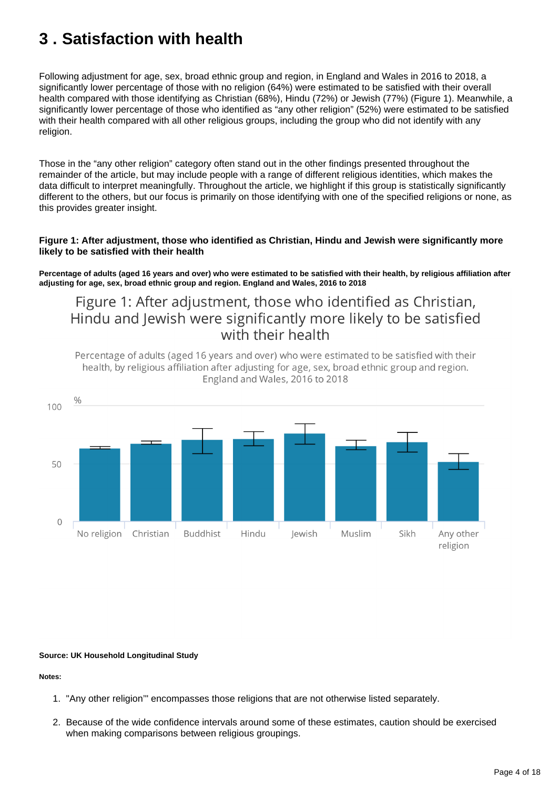# <span id="page-3-0"></span>**3 . Satisfaction with health**

Following adjustment for age, sex, broad ethnic group and region, in England and Wales in 2016 to 2018, a significantly lower percentage of those with no religion (64%) were estimated to be satisfied with their overall health compared with those identifying as Christian (68%), Hindu (72%) or Jewish (77%) (Figure 1). Meanwhile, a significantly lower percentage of those who identified as "any other religion" (52%) were estimated to be satisfied with their health compared with all other religious groups, including the group who did not identify with any religion.

Those in the "any other religion" category often stand out in the other findings presented throughout the remainder of the article, but may include people with a range of different religious identities, which makes the data difficult to interpret meaningfully. Throughout the article, we highlight if this group is statistically significantly different to the others, but our focus is primarily on those identifying with one of the specified religions or none, as this provides greater insight.

### **Figure 1: After adjustment, those who identified as Christian, Hindu and Jewish were significantly more likely to be satisfied with their health**

**Percentage of adults (aged 16 years and over) who were estimated to be satisfied with their health, by religious affiliation after adjusting for age, sex, broad ethnic group and region. England and Wales, 2016 to 2018**

## Figure 1: After adjustment, those who identified as Christian, Hindu and Jewish were significantly more likely to be satisfied with their health

Percentage of adults (aged 16 years and over) who were estimated to be satisfied with their health, by religious affiliation after adjusting for age, sex, broad ethnic group and region. England and Wales, 2016 to 2018



### **Source: UK Household Longitudinal Study**

- 1. "Any other religion'" encompasses those religions that are not otherwise listed separately.
- 2. Because of the wide confidence intervals around some of these estimates, caution should be exercised when making comparisons between religious groupings.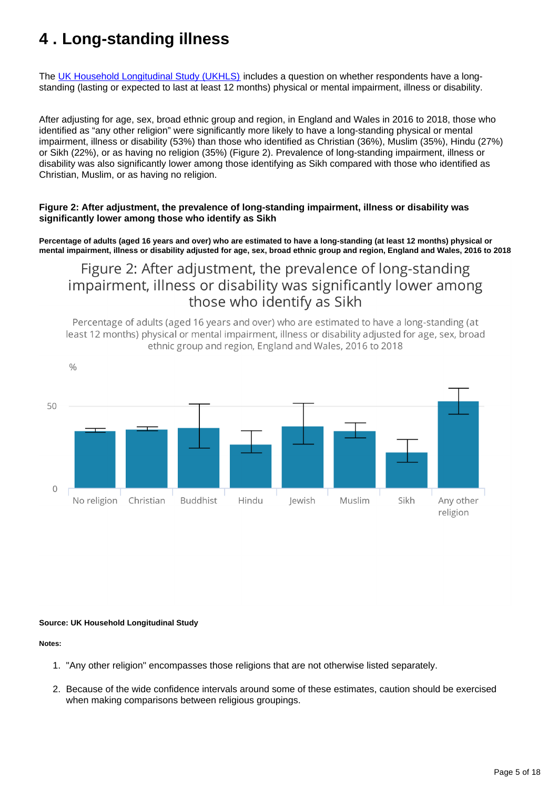# <span id="page-4-0"></span>**4 . Long-standing illness**

The [UK Household Longitudinal Study \(UKHLS\)](https://www.understandingsociety.ac.uk/) includes a question on whether respondents have a longstanding (lasting or expected to last at least 12 months) physical or mental impairment, illness or disability.

After adjusting for age, sex, broad ethnic group and region, in England and Wales in 2016 to 2018, those who identified as "any other religion" were significantly more likely to have a long-standing physical or mental impairment, illness or disability (53%) than those who identified as Christian (36%), Muslim (35%), Hindu (27%) or Sikh (22%), or as having no religion (35%) (Figure 2). Prevalence of long-standing impairment, illness or disability was also significantly lower among those identifying as Sikh compared with those who identified as Christian, Muslim, or as having no religion.

### **Figure 2: After adjustment, the prevalence of long-standing impairment, illness or disability was significantly lower among those who identify as Sikh**

**Percentage of adults (aged 16 years and over) who are estimated to have a long-standing (at least 12 months) physical or mental impairment, illness or disability adjusted for age, sex, broad ethnic group and region, England and Wales, 2016 to 2018**

## Figure 2: After adjustment, the prevalence of long-standing impairment, illness or disability was significantly lower among those who identify as Sikh

Percentage of adults (aged 16 years and over) who are estimated to have a long-standing (at least 12 months) physical or mental impairment, illness or disability adjusted for age, sex, broad ethnic group and region, England and Wales, 2016 to 2018



### **Source: UK Household Longitudinal Study**

- 1. "Any other religion" encompasses those religions that are not otherwise listed separately.
- 2. Because of the wide confidence intervals around some of these estimates, caution should be exercised when making comparisons between religious groupings.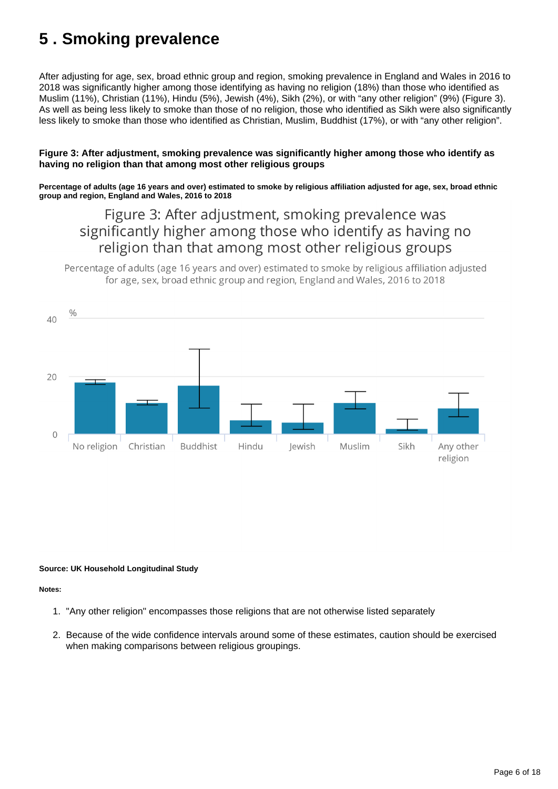# <span id="page-5-0"></span>**5 . Smoking prevalence**

After adjusting for age, sex, broad ethnic group and region, smoking prevalence in England and Wales in 2016 to 2018 was significantly higher among those identifying as having no religion (18%) than those who identified as Muslim (11%), Christian (11%), Hindu (5%), Jewish (4%), Sikh (2%), or with "any other religion" (9%) (Figure 3). As well as being less likely to smoke than those of no religion, those who identified as Sikh were also significantly less likely to smoke than those who identified as Christian, Muslim, Buddhist (17%), or with "any other religion".

### **Figure 3: After adjustment, smoking prevalence was significantly higher among those who identify as having no religion than that among most other religious groups**

**Percentage of adults (age 16 years and over) estimated to smoke by religious affiliation adjusted for age, sex, broad ethnic group and region, England and Wales, 2016 to 2018**

# Figure 3: After adjustment, smoking prevalence was significantly higher among those who identify as having no religion than that among most other religious groups

Percentage of adults (age 16 years and over) estimated to smoke by religious affiliation adjusted for age, sex, broad ethnic group and region, England and Wales, 2016 to 2018



### **Source: UK Household Longitudinal Study**

- 1. "Any other religion" encompasses those religions that are not otherwise listed separately
- 2. Because of the wide confidence intervals around some of these estimates, caution should be exercised when making comparisons between religious groupings.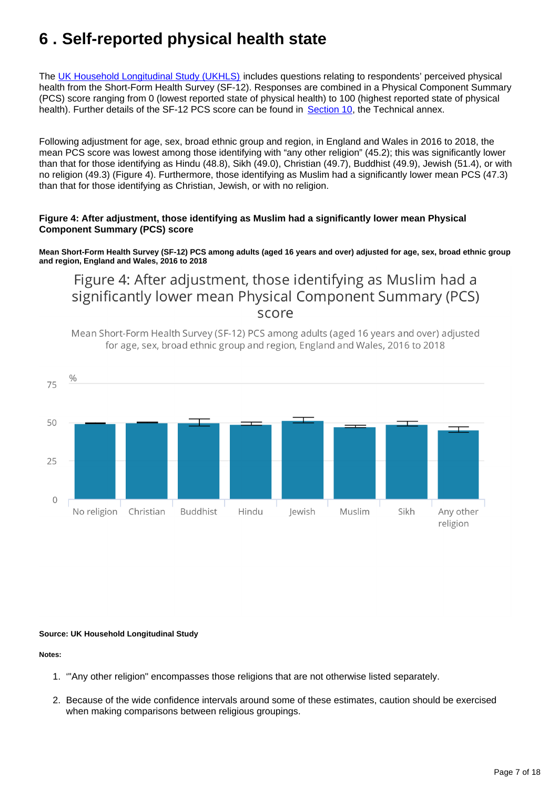# <span id="page-6-0"></span>**6 . Self-reported physical health state**

The [UK Household Longitudinal Study \(UKHLS\)](https://www.understandingsociety.ac.uk/) includes questions relating to respondents' perceived physical health from the Short-Form Health Survey (SF-12). Responses are combined in a Physical Component Summary (PCS) score ranging from 0 (lowest reported state of physical health) to 100 (highest reported state of physical health). Further details of the SF-12 PCS score can be found in [Section 10](https://www.ons.gov.uk/peoplepopulationandcommunity/culturalidentity/religion/articles/religionandhealthinenglandandwales/february2020#technical-annex), the Technical annex.

Following adjustment for age, sex, broad ethnic group and region, in England and Wales in 2016 to 2018, the mean PCS score was lowest among those identifying with "any other religion" (45.2); this was significantly lower than that for those identifying as Hindu (48.8), Sikh (49.0), Christian (49.7), Buddhist (49.9), Jewish (51.4), or with no religion (49.3) (Figure 4). Furthermore, those identifying as Muslim had a significantly lower mean PCS (47.3) than that for those identifying as Christian, Jewish, or with no religion.

### **Figure 4: After adjustment, those identifying as Muslim had a significantly lower mean Physical Component Summary (PCS) score**

**Mean Short-Form Health Survey (SF-12) PCS among adults (aged 16 years and over) adjusted for age, sex, broad ethnic group and region, England and Wales, 2016 to 2018**

## Figure 4: After adjustment, those identifying as Muslim had a significantly lower mean Physical Component Summary (PCS) score

Mean Short-Form Health Survey (SF-12) PCS among adults (aged 16 years and over) adjusted for age, sex, broad ethnic group and region, England and Wales, 2016 to 2018



### **Source: UK Household Longitudinal Study**

- 1. '"Any other religion" encompasses those religions that are not otherwise listed separately.
- 2. Because of the wide confidence intervals around some of these estimates, caution should be exercised when making comparisons between religious groupings.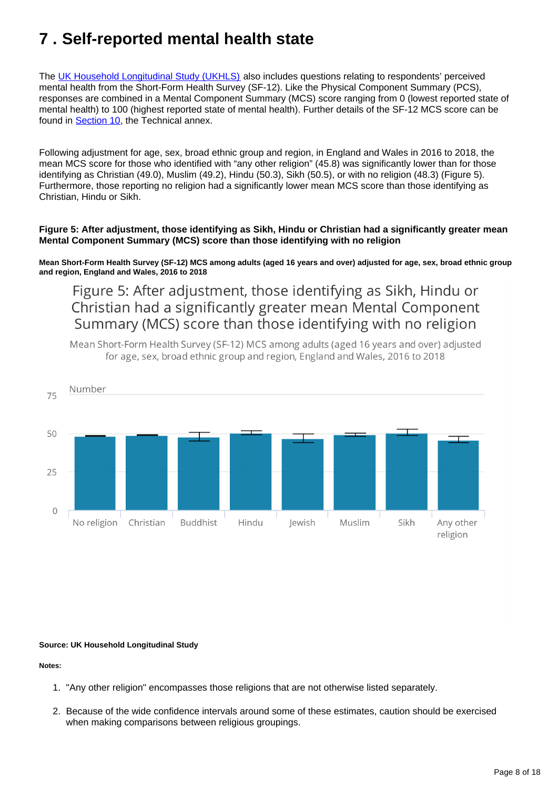# <span id="page-7-0"></span>**7 . Self-reported mental health state**

The [UK Household Longitudinal Study \(UKHLS\)](https://www.understandingsociety.ac.uk/) also includes questions relating to respondents' perceived mental health from the Short-Form Health Survey (SF-12). Like the Physical Component Summary (PCS), responses are combined in a Mental Component Summary (MCS) score ranging from 0 (lowest reported state of mental health) to 100 (highest reported state of mental health). Further details of the SF-12 MCS score can be found in [Section 10](https://www.ons.gov.uk/peoplepopulationandcommunity/culturalidentity/religion/articles/religionandhealthinenglandandwales/february2020#technical-annex), the Technical annex.

Following adjustment for age, sex, broad ethnic group and region, in England and Wales in 2016 to 2018, the mean MCS score for those who identified with "any other religion" (45.8) was significantly lower than for those identifying as Christian (49.0), Muslim (49.2), Hindu (50.3), Sikh (50.5), or with no religion (48.3) (Figure 5). Furthermore, those reporting no religion had a significantly lower mean MCS score than those identifying as Christian, Hindu or Sikh.

### **Figure 5: After adjustment, those identifying as Sikh, Hindu or Christian had a significantly greater mean Mental Component Summary (MCS) score than those identifying with no religion**

**Mean Short-Form Health Survey (SF-12) MCS among adults (aged 16 years and over) adjusted for age, sex, broad ethnic group and region, England and Wales, 2016 to 2018**

Figure 5: After adjustment, those identifying as Sikh, Hindu or Christian had a significantly greater mean Mental Component Summary (MCS) score than those identifying with no religion

Mean Short-Form Health Survey (SF-12) MCS among adults (aged 16 years and over) adjusted for age, sex, broad ethnic group and region, England and Wales, 2016 to 2018



### **Source: UK Household Longitudinal Study**

- 1. "Any other religion" encompasses those religions that are not otherwise listed separately.
- 2. Because of the wide confidence intervals around some of these estimates, caution should be exercised when making comparisons between religious groupings.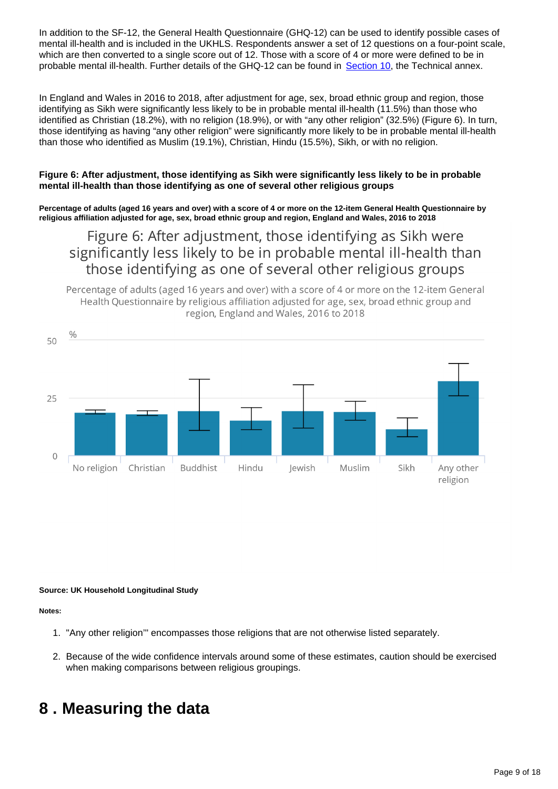In addition to the SF-12, the General Health Questionnaire (GHQ-12) can be used to identify possible cases of mental ill-health and is included in the UKHLS. Respondents answer a set of 12 questions on a four-point scale, which are then converted to a single score out of 12. Those with a score of 4 or more were defined to be in probable mental ill-health. Further details of the GHQ-12 can be found in [Section 10,](https://www.ons.gov.uk/peoplepopulationandcommunity/culturalidentity/religion/articles/religionandhealthinenglandandwales/february2020#technical-annex) the Technical annex.

In England and Wales in 2016 to 2018, after adjustment for age, sex, broad ethnic group and region, those identifying as Sikh were significantly less likely to be in probable mental ill-health (11.5%) than those who identified as Christian (18.2%), with no religion (18.9%), or with "any other religion" (32.5%) (Figure 6). In turn, those identifying as having "any other religion" were significantly more likely to be in probable mental ill-health than those who identified as Muslim (19.1%), Christian, Hindu (15.5%), Sikh, or with no religion.

### **Figure 6: After adjustment, those identifying as Sikh were significantly less likely to be in probable mental ill-health than those identifying as one of several other religious groups**

**Percentage of adults (aged 16 years and over) with a score of 4 or more on the 12-item General Health Questionnaire by religious affiliation adjusted for age, sex, broad ethnic group and region, England and Wales, 2016 to 2018**

## Figure 6: After adjustment, those identifying as Sikh were significantly less likely to be in probable mental ill-health than those identifying as one of several other religious groups

Percentage of adults (aged 16 years and over) with a score of 4 or more on the 12-item General Health Questionnaire by religious affiliation adjusted for age, sex, broad ethnic group and region, England and Wales, 2016 to 2018



**Source: UK Household Longitudinal Study**

**Notes:**

- 1. "Any other religion'" encompasses those religions that are not otherwise listed separately.
- 2. Because of the wide confidence intervals around some of these estimates, caution should be exercised when making comparisons between religious groupings.

# <span id="page-8-0"></span>**8 . Measuring the data**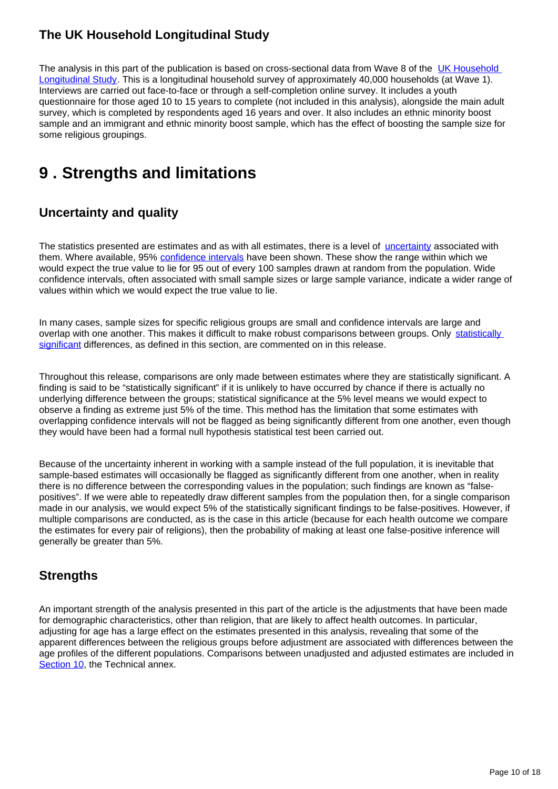## **The UK Household Longitudinal Study**

The analysis in this part of the publication is based on cross-sectional data from Wave 8 of the [UK Household](https://www.understandingsociety.ac.uk/)  [Longitudinal Study](https://www.understandingsociety.ac.uk/). This is a longitudinal household survey of approximately 40,000 households (at Wave 1). Interviews are carried out face-to-face or through a self-completion online survey. It includes a youth questionnaire for those aged 10 to 15 years to complete (not included in this analysis), alongside the main adult survey, which is completed by respondents aged 16 years and over. It also includes an ethnic minority boost sample and an immigrant and ethnic minority boost sample, which has the effect of boosting the sample size for some religious groupings.

# <span id="page-9-0"></span>**9 . Strengths and limitations**

## **Uncertainty and quality**

The statistics presented are estimates and as with all estimates, there is a level of [uncertainty](https://www.ons.gov.uk/methodology/methodologytopicsandstatisticalconcepts/uncertaintyandhowwemeasureit#what-is-uncertainty) associated with them. Where available, 95% [confidence intervals](https://www.ons.gov.uk/methodology/methodologytopicsandstatisticalconcepts/uncertaintyandhowwemeasureit#confidence-interval) have been shown. These show the range within which we would expect the true value to lie for 95 out of every 100 samples drawn at random from the population. Wide confidence intervals, often associated with small sample sizes or large sample variance, indicate a wider range of values within which we would expect the true value to lie.

In many cases, sample sizes for specific religious groups are small and confidence intervals are large and overlap with one another. This makes it difficult to make robust comparisons between groups. Only statistically [significant](https://www.ons.gov.uk/methodology/methodologytopicsandstatisticalconcepts/uncertaintyandhowwemeasureit#statistical-significance) differences, as defined in this section, are commented on in this release.

Throughout this release, comparisons are only made between estimates where they are statistically significant. A finding is said to be "statistically significant" if it is unlikely to have occurred by chance if there is actually no underlying difference between the groups; statistical significance at the 5% level means we would expect to observe a finding as extreme just 5% of the time. This method has the limitation that some estimates with overlapping confidence intervals will not be flagged as being significantly different from one another, even though they would have been had a formal null hypothesis statistical test been carried out.

Because of the uncertainty inherent in working with a sample instead of the full population, it is inevitable that sample-based estimates will occasionally be flagged as significantly different from one another, when in reality there is no difference between the corresponding values in the population; such findings are known as "falsepositives". If we were able to repeatedly draw different samples from the population then, for a single comparison made in our analysis, we would expect 5% of the statistically significant findings to be false-positives. However, if multiple comparisons are conducted, as is the case in this article (because for each health outcome we compare the estimates for every pair of religions), then the probability of making at least one false-positive inference will generally be greater than 5%.

## **Strengths**

An important strength of the analysis presented in this part of the article is the adjustments that have been made for demographic characteristics, other than religion, that are likely to affect health outcomes. In particular, adjusting for age has a large effect on the estimates presented in this analysis, revealing that some of the apparent differences between the religious groups before adjustment are associated with differences between the age profiles of the different populations. Comparisons between unadjusted and adjusted estimates are included in [Section 10,](https://www.ons.gov.uk/peoplepopulationandcommunity/culturalidentity/religion/articles/religionandhealthinenglandandwales/february2020#technical-annex) the Technical annex.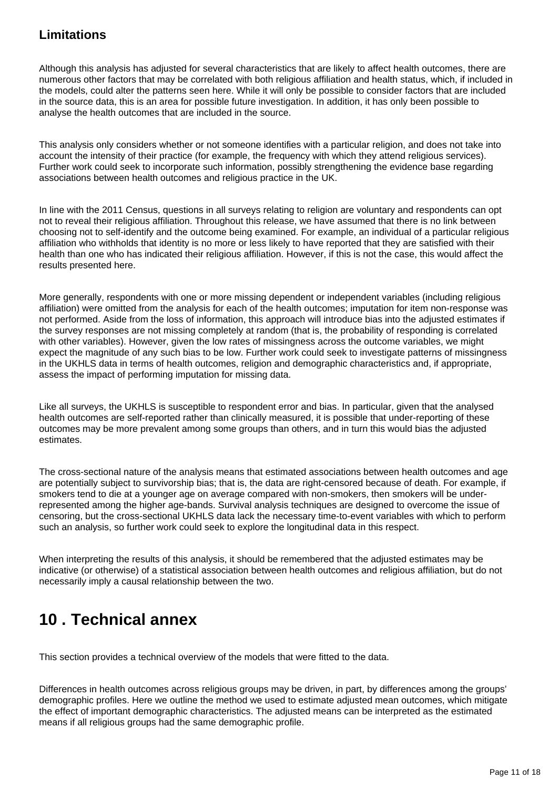## **Limitations**

Although this analysis has adjusted for several characteristics that are likely to affect health outcomes, there are numerous other factors that may be correlated with both religious affiliation and health status, which, if included in the models, could alter the patterns seen here. While it will only be possible to consider factors that are included in the source data, this is an area for possible future investigation. In addition, it has only been possible to analyse the health outcomes that are included in the source.

This analysis only considers whether or not someone identifies with a particular religion, and does not take into account the intensity of their practice (for example, the frequency with which they attend religious services). Further work could seek to incorporate such information, possibly strengthening the evidence base regarding associations between health outcomes and religious practice in the UK.

In line with the 2011 Census, questions in all surveys relating to religion are voluntary and respondents can opt not to reveal their religious affiliation. Throughout this release, we have assumed that there is no link between choosing not to self-identify and the outcome being examined. For example, an individual of a particular religious affiliation who withholds that identity is no more or less likely to have reported that they are satisfied with their health than one who has indicated their religious affiliation. However, if this is not the case, this would affect the results presented here.

More generally, respondents with one or more missing dependent or independent variables (including religious affiliation) were omitted from the analysis for each of the health outcomes; imputation for item non-response was not performed. Aside from the loss of information, this approach will introduce bias into the adjusted estimates if the survey responses are not missing completely at random (that is, the probability of responding is correlated with other variables). However, given the low rates of missingness across the outcome variables, we might expect the magnitude of any such bias to be low. Further work could seek to investigate patterns of missingness in the UKHLS data in terms of health outcomes, religion and demographic characteristics and, if appropriate, assess the impact of performing imputation for missing data.

Like all surveys, the UKHLS is susceptible to respondent error and bias. In particular, given that the analysed health outcomes are self-reported rather than clinically measured, it is possible that under-reporting of these outcomes may be more prevalent among some groups than others, and in turn this would bias the adjusted estimates.

The cross-sectional nature of the analysis means that estimated associations between health outcomes and age are potentially subject to survivorship bias; that is, the data are right-censored because of death. For example, if smokers tend to die at a younger age on average compared with non-smokers, then smokers will be underrepresented among the higher age-bands. Survival analysis techniques are designed to overcome the issue of censoring, but the cross-sectional UKHLS data lack the necessary time-to-event variables with which to perform such an analysis, so further work could seek to explore the longitudinal data in this respect.

When interpreting the results of this analysis, it should be remembered that the adjusted estimates may be indicative (or otherwise) of a statistical association between health outcomes and religious affiliation, but do not necessarily imply a causal relationship between the two.

# <span id="page-10-0"></span>**10 . Technical annex**

This section provides a technical overview of the models that were fitted to the data.

Differences in health outcomes across religious groups may be driven, in part, by differences among the groups' demographic profiles. Here we outline the method we used to estimate adjusted mean outcomes, which mitigate the effect of important demographic characteristics. The adjusted means can be interpreted as the estimated means if all religious groups had the same demographic profile.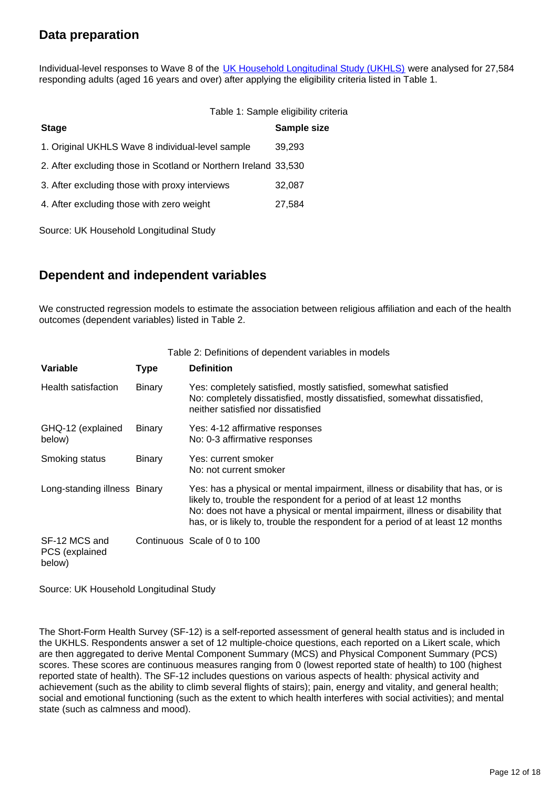## **Data preparation**

Individual-level responses to Wave 8 of the [UK Household Longitudinal Study \(UKHLS\)](https://www.understandingsociety.ac.uk/) were analysed for 27,584 responding adults (aged 16 years and over) after applying the eligibility criteria listed in Table 1.

|                                                                 | Table 1: Sample eligibility criteria |
|-----------------------------------------------------------------|--------------------------------------|
| <b>Stage</b>                                                    | Sample size                          |
| 1. Original UKHLS Wave 8 individual-level sample                | 39,293                               |
| 2. After excluding those in Scotland or Northern Ireland 33,530 |                                      |
| 3. After excluding those with proxy interviews                  | 32,087                               |
| 4. After excluding those with zero weight                       | 27,584                               |
|                                                                 |                                      |

Source: UK Household Longitudinal Study

## **Dependent and independent variables**

We constructed regression models to estimate the association between religious affiliation and each of the health outcomes (dependent variables) listed in Table 2.

| Table 2: Definitions of dependent variables in models |               |                                                                                                                                                                                                                                                                                                                             |  |  |  |
|-------------------------------------------------------|---------------|-----------------------------------------------------------------------------------------------------------------------------------------------------------------------------------------------------------------------------------------------------------------------------------------------------------------------------|--|--|--|
| Variable                                              | <b>Type</b>   | <b>Definition</b>                                                                                                                                                                                                                                                                                                           |  |  |  |
| Health satisfaction                                   | <b>Binary</b> | Yes: completely satisfied, mostly satisfied, somewhat satisfied<br>No: completely dissatisfied, mostly dissatisfied, somewhat dissatisfied,<br>neither satisfied nor dissatisfied                                                                                                                                           |  |  |  |
| GHQ-12 (explained<br>below)                           | <b>Binary</b> | Yes: 4-12 affirmative responses<br>No: 0-3 affirmative responses                                                                                                                                                                                                                                                            |  |  |  |
| Smoking status                                        | Binary        | Yes: current smoker<br>No: not current smoker                                                                                                                                                                                                                                                                               |  |  |  |
| Long-standing illness Binary                          |               | Yes: has a physical or mental impairment, illness or disability that has, or is<br>likely to, trouble the respondent for a period of at least 12 months<br>No: does not have a physical or mental impairment, illness or disability that<br>has, or is likely to, trouble the respondent for a period of at least 12 months |  |  |  |
| SF-12 MCS and<br>PCS (explained<br>below)             |               | Continuous Scale of 0 to 100                                                                                                                                                                                                                                                                                                |  |  |  |

Source: UK Household Longitudinal Study

The Short-Form Health Survey (SF-12) is a self-reported assessment of general health status and is included in the UKHLS. Respondents answer a set of 12 multiple-choice questions, each reported on a Likert scale, which are then aggregated to derive Mental Component Summary (MCS) and Physical Component Summary (PCS) scores. These scores are continuous measures ranging from 0 (lowest reported state of health) to 100 (highest reported state of health). The SF-12 includes questions on various aspects of health: physical activity and achievement (such as the ability to climb several flights of stairs); pain, energy and vitality, and general health; social and emotional functioning (such as the extent to which health interferes with social activities); and mental state (such as calmness and mood).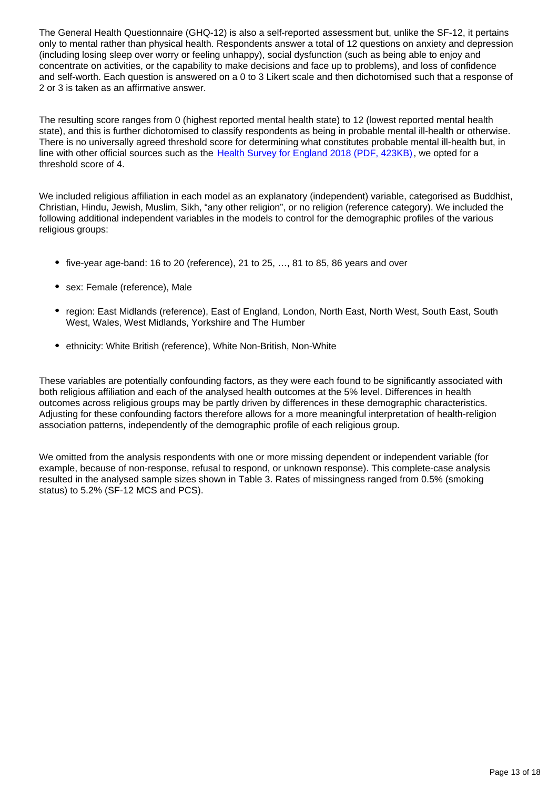The General Health Questionnaire (GHQ-12) is also a self-reported assessment but, unlike the SF-12, it pertains only to mental rather than physical health. Respondents answer a total of 12 questions on anxiety and depression (including losing sleep over worry or feeling unhappy), social dysfunction (such as being able to enjoy and concentrate on activities, or the capability to make decisions and face up to problems), and loss of confidence and self-worth. Each question is answered on a 0 to 3 Likert scale and then dichotomised such that a response of 2 or 3 is taken as an affirmative answer.

The resulting score ranges from 0 (highest reported mental health state) to 12 (lowest reported mental health state), and this is further dichotomised to classify respondents as being in probable mental ill-health or otherwise. There is no universally agreed threshold score for determining what constitutes probable mental ill-health but, in line with other official sources such as the [Health Survey for England 2018 \(PDF, 423KB\)](https://files.digital.nhs.uk/AA/E265E0/HSE18-Longstanding-Conditions-rep.pdf), we opted for a threshold score of 4.

We included religious affiliation in each model as an explanatory (independent) variable, categorised as Buddhist, Christian, Hindu, Jewish, Muslim, Sikh, "any other religion", or no religion (reference category). We included the following additional independent variables in the models to control for the demographic profiles of the various religious groups:

- $\bullet$  five-year age-band: 16 to 20 (reference), 21 to 25,  $\dots$  81 to 85, 86 years and over
- sex: Female (reference), Male
- region: East Midlands (reference), East of England, London, North East, North West, South East, South West, Wales, West Midlands, Yorkshire and The Humber
- ethnicity: White British (reference), White Non-British, Non-White

These variables are potentially confounding factors, as they were each found to be significantly associated with both religious affiliation and each of the analysed health outcomes at the 5% level. Differences in health outcomes across religious groups may be partly driven by differences in these demographic characteristics. Adjusting for these confounding factors therefore allows for a more meaningful interpretation of health-religion association patterns, independently of the demographic profile of each religious group.

We omitted from the analysis respondents with one or more missing dependent or independent variable (for example, because of non-response, refusal to respond, or unknown response). This complete-case analysis resulted in the analysed sample sizes shown in Table 3. Rates of missingness ranged from 0.5% (smoking status) to 5.2% (SF-12 MCS and PCS).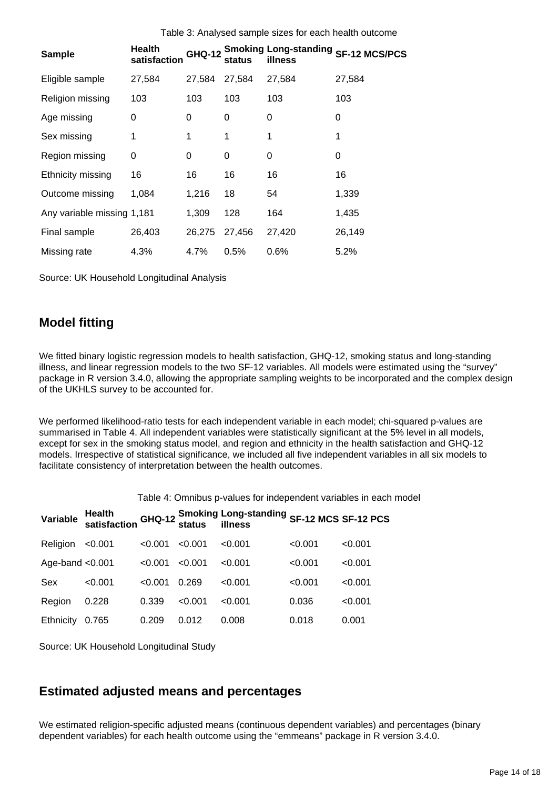| <b>Sample</b>              | Health<br>satisfaction | <b>GHQ-12</b> | status | <b>Smoking Long-standing</b><br>illness | <b>SF-12 MCS/PCS</b> |
|----------------------------|------------------------|---------------|--------|-----------------------------------------|----------------------|
| Eligible sample            | 27,584                 | 27,584        | 27,584 | 27,584                                  | 27,584               |
| Religion missing           | 103                    | 103           | 103    | 103                                     | 103                  |
| Age missing                | 0                      | 0             | 0      | 0                                       | 0                    |
| Sex missing                | 1                      | 1             | 1      | 1                                       |                      |
| Region missing             | 0                      | 0             | 0      | 0                                       | 0                    |
| Ethnicity missing          | 16                     | 16            | 16     | 16                                      | 16                   |
| Outcome missing            | 1,084                  | 1,216         | 18     | 54                                      | 1,339                |
| Any variable missing 1,181 |                        | 1,309         | 128    | 164                                     | 1,435                |
| Final sample               | 26,403                 | 26,275        | 27,456 | 27,420                                  | 26,149               |
| Missing rate               | 4.3%                   | 4.7%          | 0.5%   | 0.6%                                    | 5.2%                 |

Source: UK Household Longitudinal Analysis

## **Model fitting**

We fitted binary logistic regression models to health satisfaction, GHQ-12, smoking status and long-standing illness, and linear regression models to the two SF-12 variables. All models were estimated using the "survey" package in R version 3.4.0, allowing the appropriate sampling weights to be incorporated and the complex design of the UKHLS survey to be accounted for.

We performed likelihood-ratio tests for each independent variable in each model; chi-squared p-values are summarised in Table 4. All independent variables were statistically significant at the 5% level in all models, except for sex in the smoking status model, and region and ethnicity in the health satisfaction and GHQ-12 models. Irrespective of statistical significance, we included all five independent variables in all six models to facilitate consistency of interpretation between the health outcomes.

Table 4: Omnibus p-values for independent variables in each model

| Variable           |         |         |         | Health<br>satisfaction GHQ-12 Smoking Long-standing SF-12 MCS SF-12 PCS<br>satisfaction dend status illness |         |         |
|--------------------|---------|---------|---------|-------------------------------------------------------------------------------------------------------------|---------|---------|
| Religion           | < 0.001 | < 0.001 | < 0.001 | < 0.001                                                                                                     | < 0.001 | < 0.001 |
| Age-band $< 0.001$ |         | < 0.001 | < 0.001 | < 0.001                                                                                                     | < 0.001 | < 0.001 |
| Sex                | < 0.001 | < 0.001 | 0.269   | < 0.001                                                                                                     | < 0.001 | < 0.001 |
| Region             | 0.228   | 0.339   | < 0.001 | < 0.001                                                                                                     | 0.036   | < 0.001 |
| Ethnicity          | 0.765   | 0.209   | 0.012   | 0.008                                                                                                       | 0.018   | 0.001   |

Source: UK Household Longitudinal Study

### **Estimated adjusted means and percentages**

We estimated religion-specific adjusted means (continuous dependent variables) and percentages (binary dependent variables) for each health outcome using the "emmeans" package in R version 3.4.0.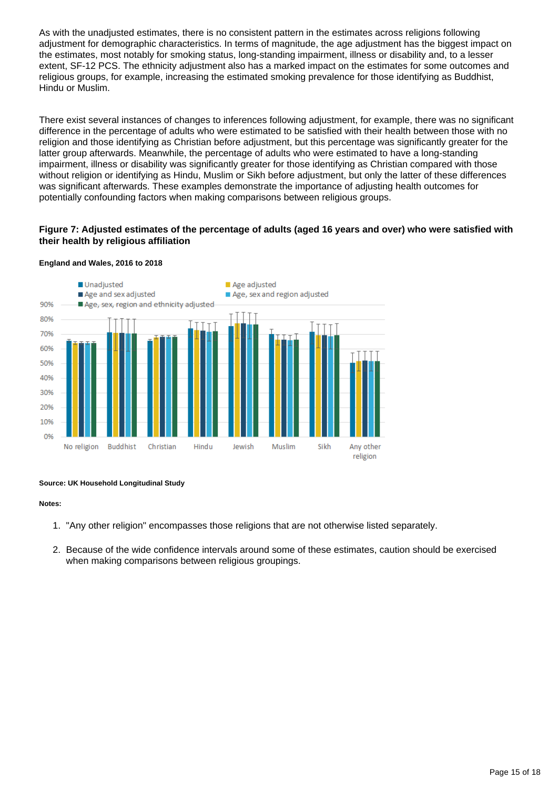As with the unadjusted estimates, there is no consistent pattern in the estimates across religions following adjustment for demographic characteristics. In terms of magnitude, the age adjustment has the biggest impact on the estimates, most notably for smoking status, long-standing impairment, illness or disability and, to a lesser extent, SF-12 PCS. The ethnicity adjustment also has a marked impact on the estimates for some outcomes and religious groups, for example, increasing the estimated smoking prevalence for those identifying as Buddhist, Hindu or Muslim.

There exist several instances of changes to inferences following adjustment, for example, there was no significant difference in the percentage of adults who were estimated to be satisfied with their health between those with no religion and those identifying as Christian before adjustment, but this percentage was significantly greater for the latter group afterwards. Meanwhile, the percentage of adults who were estimated to have a long-standing impairment, illness or disability was significantly greater for those identifying as Christian compared with those without religion or identifying as Hindu, Muslim or Sikh before adjustment, but only the latter of these differences was significant afterwards. These examples demonstrate the importance of adjusting health outcomes for potentially confounding factors when making comparisons between religious groups.

### **Figure 7: Adjusted estimates of the percentage of adults (aged 16 years and over) who were satisfied with their health by religious affiliation**



#### **England and Wales, 2016 to 2018**

#### **Source: UK Household Longitudinal Study**

- 1. "Any other religion" encompasses those religions that are not otherwise listed separately.
- 2. Because of the wide confidence intervals around some of these estimates, caution should be exercised when making comparisons between religious groupings.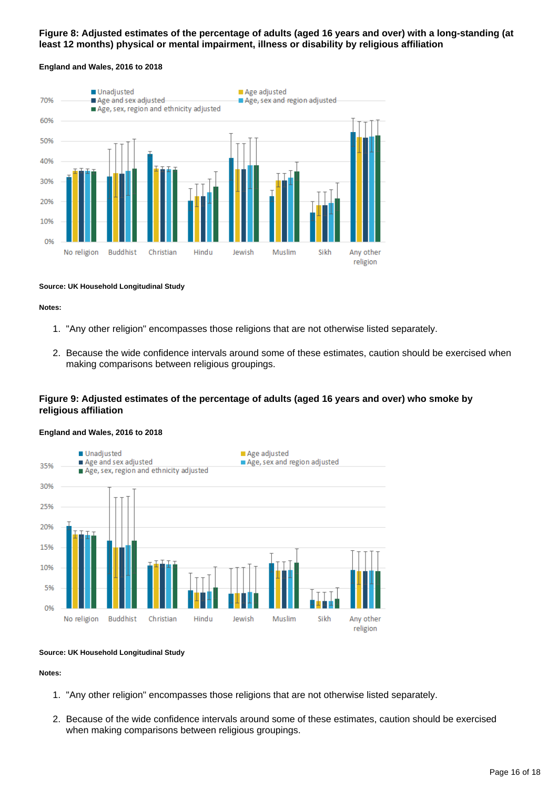### **Figure 8: Adjusted estimates of the percentage of adults (aged 16 years and over) with a long-standing (at least 12 months) physical or mental impairment, illness or disability by religious affiliation**

#### **England and Wales, 2016 to 2018**



#### **Source: UK Household Longitudinal Study**

#### **Notes:**

- 1. "Any other religion" encompasses those religions that are not otherwise listed separately.
- 2. Because the wide confidence intervals around some of these estimates, caution should be exercised when making comparisons between religious groupings.

### **Figure 9: Adjusted estimates of the percentage of adults (aged 16 years and over) who smoke by religious affiliation**

#### **England and Wales, 2016 to 2018**



#### **Source: UK Household Longitudinal Study**

- 1. "Any other religion" encompasses those religions that are not otherwise listed separately.
- 2. Because of the wide confidence intervals around some of these estimates, caution should be exercised when making comparisons between religious groupings.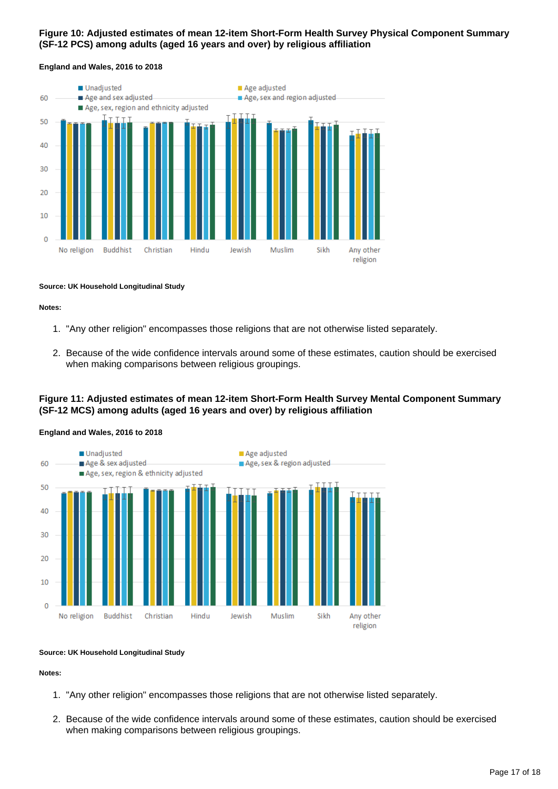### **Figure 10: Adjusted estimates of mean 12-item Short-Form Health Survey Physical Component Summary (SF-12 PCS) among adults (aged 16 years and over) by religious affiliation**



#### **England and Wales, 2016 to 2018**

#### **Source: UK Household Longitudinal Study**

#### **Notes:**

- 1. "Any other religion" encompasses those religions that are not otherwise listed separately.
- 2. Because of the wide confidence intervals around some of these estimates, caution should be exercised when making comparisons between religious groupings.

### **Figure 11: Adjusted estimates of mean 12-item Short-Form Health Survey Mental Component Summary (SF-12 MCS) among adults (aged 16 years and over) by religious affiliation**



#### **England and Wales, 2016 to 2018**

#### **Source: UK Household Longitudinal Study**

- 1. "Any other religion" encompasses those religions that are not otherwise listed separately.
- 2. Because of the wide confidence intervals around some of these estimates, caution should be exercised when making comparisons between religious groupings.